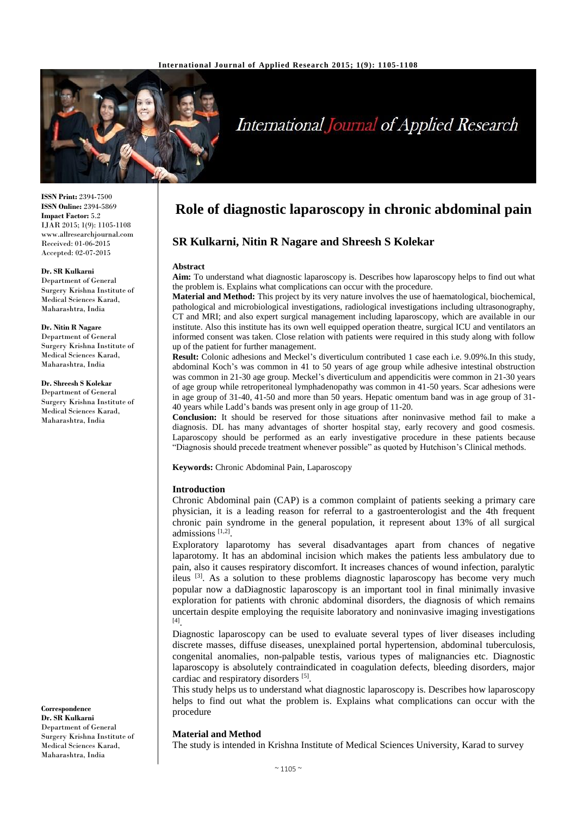

# International Journal of Applied Research

**ISSN Print:** 2394-7500 **ISSN Online:** 2394-5869 **Impact Factor:** 5.2 IJAR 2015; 1(9): 1105-1108 www.allresearchjournal.com Received: 01-06-2015 Accepted: 02-07-2015

#### **Dr. SR Kulkarni**

Department of General Surgery Krishna Institute of Medical Sciences Karad, Maharashtra, India

#### **Dr. Nitin R Nagare**

Department of General Surgery Krishna Institute of Medical Sciences Karad, Maharashtra, India

**Dr. Shreesh S Kolekar**

Department of General Surgery Krishna Institute of Medical Sciences Karad, Maharashtra, India

**Correspondence Dr. SR Kulkarni** Department of General Surgery Krishna Institute of Medical Sciences Karad, Maharashtra, India

# **Role of diagnostic laparoscopy in chronic abdominal pain**

# **SR Kulkarni, Nitin R Nagare and Shreesh S Kolekar**

#### **Abstract**

**Aim:** To understand what diagnostic laparoscopy is. Describes how laparoscopy helps to find out what the problem is. Explains what complications can occur with the procedure.

**Material and Method:** This project by its very nature involves the use of haematological, biochemical, pathological and microbiological investigations, radiological investigations including ultrasonography, CT and MRI; and also expert surgical management including laparoscopy, which are available in our institute. Also this institute has its own well equipped operation theatre, surgical ICU and ventilators an informed consent was taken. Close relation with patients were required in this study along with follow up of the patient for further management.

**Result:** Colonic adhesions and Meckel's diverticulum contributed 1 case each i.e. 9.09%.In this study, abdominal Koch's was common in 41 to 50 years of age group while adhesive intestinal obstruction was common in 21-30 age group. Meckel's diverticulum and appendicitis were common in 21-30 years of age group while retroperitoneal lymphadenopathy was common in 41-50 years. Scar adhesions were in age group of 31-40, 41-50 and more than 50 years. Hepatic omentum band was in age group of 31- 40 years while Ladd's bands was present only in age group of 11-20.

**Conclusion:** It should be reserved for those situations after noninvasive method fail to make a diagnosis. DL has many advantages of shorter hospital stay, early recovery and good cosmesis. Laparoscopy should be performed as an early investigative procedure in these patients because "Diagnosis should precede treatment whenever possible" as quoted by Hutchison's Clinical methods.

**Keywords:** Chronic Abdominal Pain, Laparoscopy

#### **Introduction**

Chronic Abdominal pain (CAP) is a common complaint of patients seeking a primary care physician, it is a leading reason for referral to a gastroenterologist and the 4th frequent chronic pain syndrome in the general population, it represent about 13% of all surgical admissions [1,2] .

Exploratory laparotomy has several disadvantages apart from chances of negative laparotomy. It has an abdominal incision which makes the patients less ambulatory due to pain, also it causes respiratory discomfort. It increases chances of wound infection, paralytic ileus [3]. As a solution to these problems diagnostic laparoscopy has become very much popular now a daDiagnostic laparoscopy is an important tool in final minimally invasive exploration for patients with chronic abdominal disorders, the diagnosis of which remains uncertain despite employing the requisite laboratory and noninvasive imaging investigations [4] .

Diagnostic laparoscopy can be used to evaluate several types of liver diseases including discrete masses, diffuse diseases, unexplained portal hypertension, abdominal tuberculosis, congenital anomalies, non-palpable testis, various types of malignancies etc. Diagnostic laparoscopy is absolutely contraindicated in coagulation defects, bleeding disorders, major cardiac and respiratory disorders [5].

This study helps us to understand what diagnostic laparoscopy is. Describes how laparoscopy helps to find out what the problem is. Explains what complications can occur with the procedure

#### **Material and Method**

The study is intended in Krishna Institute of Medical Sciences University, Karad to survey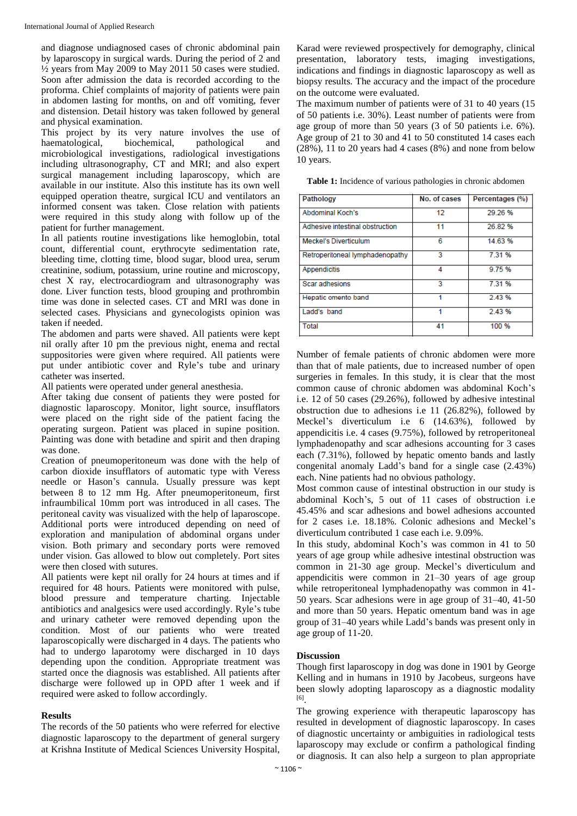and diagnose undiagnosed cases of chronic abdominal pain by laparoscopy in surgical wards. During the period of 2 and ½ years from May 2009 to May 2011 50 cases were studied. Soon after admission the data is recorded according to the proforma. Chief complaints of majority of patients were pain in abdomen lasting for months, on and off vomiting, fever and distension. Detail history was taken followed by general and physical examination.

This project by its very nature involves the use of haematological, biochemical, pathological and microbiological investigations, radiological investigations including ultrasonography, CT and MRI; and also expert surgical management including laparoscopy, which are available in our institute. Also this institute has its own well equipped operation theatre, surgical ICU and ventilators an informed consent was taken. Close relation with patients were required in this study along with follow up of the patient for further management.

In all patients routine investigations like hemoglobin, total count, differential count, erythrocyte sedimentation rate, bleeding time, clotting time, blood sugar, blood urea, serum creatinine, sodium, potassium, urine routine and microscopy, chest X ray, electrocardiogram and ultrasonography was done. Liver function tests, blood grouping and prothrombin time was done in selected cases. CT and MRI was done in selected cases. Physicians and gynecologists opinion was taken if needed.

The abdomen and parts were shaved. All patients were kept nil orally after 10 pm the previous night, enema and rectal suppositories were given where required. All patients were put under antibiotic cover and Ryle's tube and urinary catheter was inserted.

All patients were operated under general anesthesia.

After taking due consent of patients they were posted for diagnostic laparoscopy. Monitor, light source, insufflators were placed on the right side of the patient facing the operating surgeon. Patient was placed in supine position. Painting was done with betadine and spirit and then draping was done.

Creation of pneumoperitoneum was done with the help of carbon dioxide insufflators of automatic type with Veress needle or Hason's cannula. Usually pressure was kept between 8 to 12 mm Hg. After pneumoperitoneum, first infraumbilical 10mm port was introduced in all cases. The peritoneal cavity was visualized with the help of laparoscope. Additional ports were introduced depending on need of exploration and manipulation of abdominal organs under vision. Both primary and secondary ports were removed under vision. Gas allowed to blow out completely. Port sites were then closed with sutures.

All patients were kept nil orally for 24 hours at times and if required for 48 hours. Patients were monitored with pulse, blood pressure and temperature charting. Injectable antibiotics and analgesics were used accordingly. Ryle's tube and urinary catheter were removed depending upon the condition. Most of our patients who were treated laparoscopically were discharged in 4 days. The patients who had to undergo laparotomy were discharged in 10 days depending upon the condition. Appropriate treatment was started once the diagnosis was established. All patients after discharge were followed up in OPD after 1 week and if required were asked to follow accordingly.

# **Results**

The records of the 50 patients who were referred for elective diagnostic laparoscopy to the department of general surgery at Krishna Institute of Medical Sciences University Hospital, Karad were reviewed prospectively for demography, clinical presentation, laboratory tests, imaging investigations, indications and findings in diagnostic laparoscopy as well as biopsy results. The accuracy and the impact of the procedure on the outcome were evaluated.

The maximum number of patients were of 31 to 40 years (15 of 50 patients i.e. 30%). Least number of patients were from age group of more than 50 years (3 of 50 patients i.e. 6%). Age group of 21 to 30 and 41 to 50 constituted 14 cases each (28%), 11 to 20 years had 4 cases (8%) and none from below 10 years.

**Table 1:** Incidence of various pathologies in chronic abdomen

| Pathology                       | No. of cases | Percentages (%) |
|---------------------------------|--------------|-----------------|
| Abdominal Koch's                | 12           | 29.26%          |
| Adhesive intestinal obstruction | 11           | 26.82%          |
| <b>Meckel's Diverticulum</b>    | 6            | 14.63%          |
| Retroperitoneal lymphadenopathy | 3            | 7.31 %          |
| Appendicitis                    | 4            | 9.75%           |
| <b>Scar adhesions</b>           | 3            | 7.31 %          |
| Hepatic omento band             |              | 2.43%           |
| Ladd's band                     |              | 2.43%           |
| Total                           | 41           | 100 %           |

Number of female patients of chronic abdomen were more than that of male patients, due to increased number of open surgeries in females. In this study, it is clear that the most common cause of chronic abdomen was abdominal Koch's i.e. 12 of 50 cases (29.26%), followed by adhesive intestinal obstruction due to adhesions i.e 11 (26.82%), followed by Meckel's diverticulum i.e 6 (14.63%), followed by appendicitis i.e. 4 cases (9.75%), followed by retroperitoneal lymphadenopathy and scar adhesions accounting for 3 cases each (7.31%), followed by hepatic omento bands and lastly congenital anomaly Ladd's band for a single case (2.43%) each. Nine patients had no obvious pathology.

Most common cause of intestinal obstruction in our study is abdominal Koch's, 5 out of 11 cases of obstruction i.e 45.45% and scar adhesions and bowel adhesions accounted for 2 cases i.e. 18.18%. Colonic adhesions and Meckel's diverticulum contributed 1 case each i.e. 9.09%.

In this study, abdominal Koch's was common in 41 to 50 years of age group while adhesive intestinal obstruction was common in 21-30 age group. Meckel's diverticulum and appendicitis were common in 21–30 years of age group while retroperitoneal lymphadenopathy was common in 41- 50 years. Scar adhesions were in age group of 31–40, 41-50 and more than 50 years. Hepatic omentum band was in age group of 31–40 years while Ladd's bands was present only in age group of 11-20.

# **Discussion**

Though first laparoscopy in dog was done in 1901 by George Kelling and in humans in 1910 by Jacobeus, surgeons have been slowly adopting laparoscopy as a diagnostic modality [6] .

The growing experience with therapeutic laparoscopy has resulted in development of diagnostic laparoscopy. In cases of diagnostic uncertainty or ambiguities in radiological tests laparoscopy may exclude or confirm a pathological finding or diagnosis. It can also help a surgeon to plan appropriate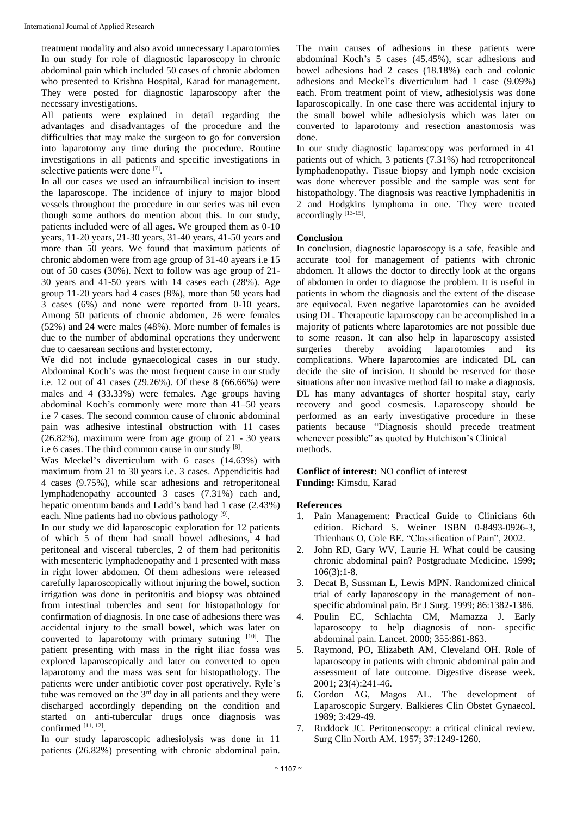treatment modality and also avoid unnecessary Laparotomies In our study for role of diagnostic laparoscopy in chronic abdominal pain which included 50 cases of chronic abdomen who presented to Krishna Hospital, Karad for management. They were posted for diagnostic laparoscopy after the necessary investigations.

All patients were explained in detail regarding the advantages and disadvantages of the procedure and the difficulties that may make the surgeon to go for conversion into laparotomy any time during the procedure. Routine investigations in all patients and specific investigations in selective patients were done [7].

In all our cases we used an infraumbilical incision to insert the laparoscope. The incidence of injury to major blood vessels throughout the procedure in our series was nil even though some authors do mention about this. In our study, patients included were of all ages. We grouped them as 0-10 years, 11-20 years, 21-30 years, 31-40 years, 41-50 years and more than 50 years. We found that maximum patients of chronic abdomen were from age group of 31-40 ayears i.e 15 out of 50 cases (30%). Next to follow was age group of 21- 30 years and 41-50 years with 14 cases each (28%). Age group 11-20 years had 4 cases (8%), more than 50 years had 3 cases (6%) and none were reported from 0-10 years. Among 50 patients of chronic abdomen, 26 were females (52%) and 24 were males (48%). More number of females is due to the number of abdominal operations they underwent due to caesarean sections and hysterectomy.

We did not include gynaecological cases in our study. Abdominal Koch's was the most frequent cause in our study i.e. 12 out of 41 cases (29.26%). Of these 8 (66.66%) were males and 4 (33.33%) were females. Age groups having abdominal Koch's commonly were more than 41–50 years i.e 7 cases. The second common cause of chronic abdominal pain was adhesive intestinal obstruction with 11 cases (26.82%), maximum were from age group of 21 - 30 years i.e 6 cases. The third common cause in our study [8].

Was Meckel's diverticulum with 6 cases (14.63%) with maximum from 21 to 30 years i.e. 3 cases. Appendicitis had 4 cases (9.75%), while scar adhesions and retroperitoneal lymphadenopathy accounted 3 cases (7.31%) each and, hepatic omentum bands and Ladd's band had 1 case (2.43%) each. Nine patients had no obvious pathology [9].

In our study we did laparoscopic exploration for 12 patients of which 5 of them had small bowel adhesions, 4 had peritoneal and visceral tubercles, 2 of them had peritonitis with mesenteric lymphadenopathy and 1 presented with mass in right lower abdomen. Of them adhesions were released carefully laparoscopically without injuring the bowel, suction irrigation was done in peritonitis and biopsy was obtained from intestinal tubercles and sent for histopathology for confirmation of diagnosis. In one case of adhesions there was accidental injury to the small bowel, which was later on converted to laparotomy with primary suturing [10]. The patient presenting with mass in the right iliac fossa was explored laparoscopically and later on converted to open laparotomy and the mass was sent for histopathology. The patients were under antibiotic cover post operatively. Ryle's tube was removed on the  $3<sup>rd</sup>$  day in all patients and they were discharged accordingly depending on the condition and started on anti-tubercular drugs once diagnosis was confirmed [11, 12] .

In our study laparoscopic adhesiolysis was done in 11 patients (26.82%) presenting with chronic abdominal pain. The main causes of adhesions in these patients were abdominal Koch's 5 cases (45.45%), scar adhesions and bowel adhesions had 2 cases (18.18%) each and colonic adhesions and Meckel's diverticulum had 1 case (9.09%) each. From treatment point of view, adhesiolysis was done laparoscopically. In one case there was accidental injury to the small bowel while adhesiolysis which was later on converted to laparotomy and resection anastomosis was done.

In our study diagnostic laparoscopy was performed in 41 patients out of which, 3 patients (7.31%) had retroperitoneal lymphadenopathy. Tissue biopsy and lymph node excision was done wherever possible and the sample was sent for histopathology. The diagnosis was reactive lymphadenitis in 2 and Hodgkins lymphoma in one. They were treated accordingly [13-15].

# **Conclusion**

In conclusion, diagnostic laparoscopy is a safe, feasible and accurate tool for management of patients with chronic abdomen. It allows the doctor to directly look at the organs of abdomen in order to diagnose the problem. It is useful in patients in whom the diagnosis and the extent of the disease are equivocal. Even negative laparotomies can be avoided using DL. Therapeutic laparoscopy can be accomplished in a majority of patients where laparotomies are not possible due to some reason. It can also help in laparoscopy assisted thereby avoiding laparotomies and its complications. Where laparotomies are indicated DL can decide the site of incision. It should be reserved for those situations after non invasive method fail to make a diagnosis. DL has many advantages of shorter hospital stay, early recovery and good cosmesis. Laparoscopy should be performed as an early investigative procedure in these patients because "Diagnosis should precede treatment whenever possible" as quoted by Hutchison's Clinical methods.

# **Conflict of interest:** NO conflict of interest **Funding:** Kimsdu, Karad

# **References**

- 1. Pain Management: Practical Guide to Clinicians 6th edition. Richard S. Weiner ISBN 0-8493-0926-3, Thienhaus O, Cole BE. "Classification of Pain", 2002.
- 2. John RD, Gary WV, Laurie H. What could be causing chronic abdominal pain? Postgraduate Medicine. 1999; 106(3):1-8.
- 3. Decat B, Sussman L, Lewis MPN. Randomized clinical trial of early laparoscopy in the management of nonspecific abdominal pain. Br J Surg. 1999; 86:1382-1386.
- 4. Poulin EC, Schlachta CM, Mamazza J. Early laparoscopy to help diagnosis of non- specific abdominal pain. Lancet. 2000; 355:861-863.
- 5. Raymond, PO, Elizabeth AM, Cleveland OH. Role of laparoscopy in patients with chronic abdominal pain and assessment of late outcome. Digestive disease week. 2001; 23(4):241-46.
- 6. Gordon AG, Magos AL. The development of Laparoscopic Surgery. Balkieres Clin Obstet Gynaecol. 1989; 3:429-49.
- 7. Ruddock JC. Peritoneoscopy: a critical clinical review. Surg Clin North AM. 1957; 37:1249-1260.